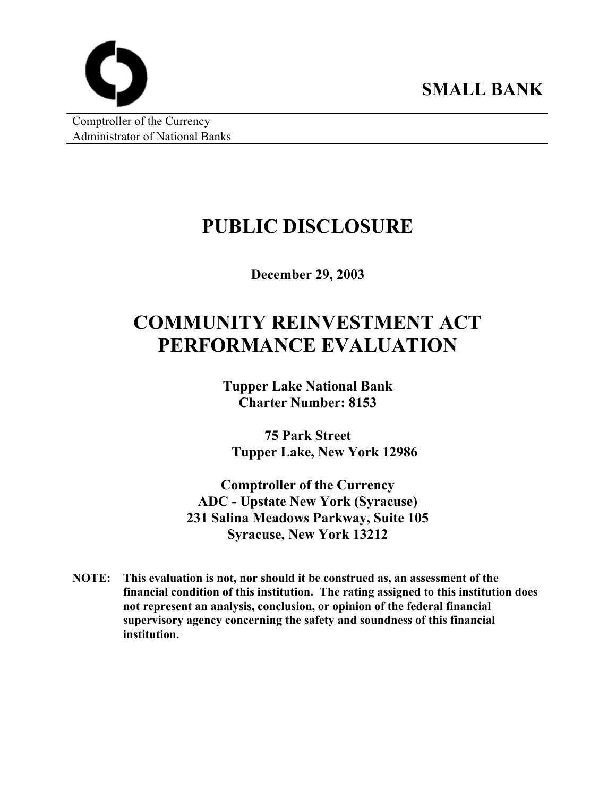

Comptroller of the Currency Administrator of National Banks

# **PUBLIC DISCLOSURE**

**December 29, 2003** 

# **COMMUNITY REINVESTMENT ACT PERFORMANCE EVALUATION**

**Tupper Lake National Bank Charter Number: 8153** 

**75 Park Street Tupper Lake, New York 12986** 

**Comptroller of the Currency ADC - Upstate New York (Syracuse) 231 Salina Meadows Parkway, Suite 105 Syracuse, New York 13212** 

**NOTE: This evaluation is not, nor should it be construed as, an assessment of the financial condition of this institution. The rating assigned to this institution does not represent an analysis, conclusion, or opinion of the federal financial supervisory agency concerning the safety and soundness of this financial institution.**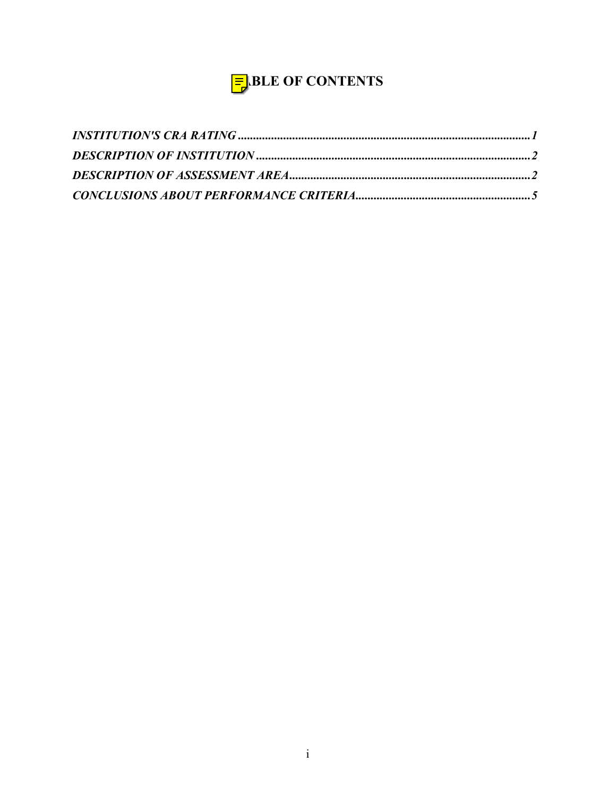# $\frac{1}{2}$ BLE OF CONTENTS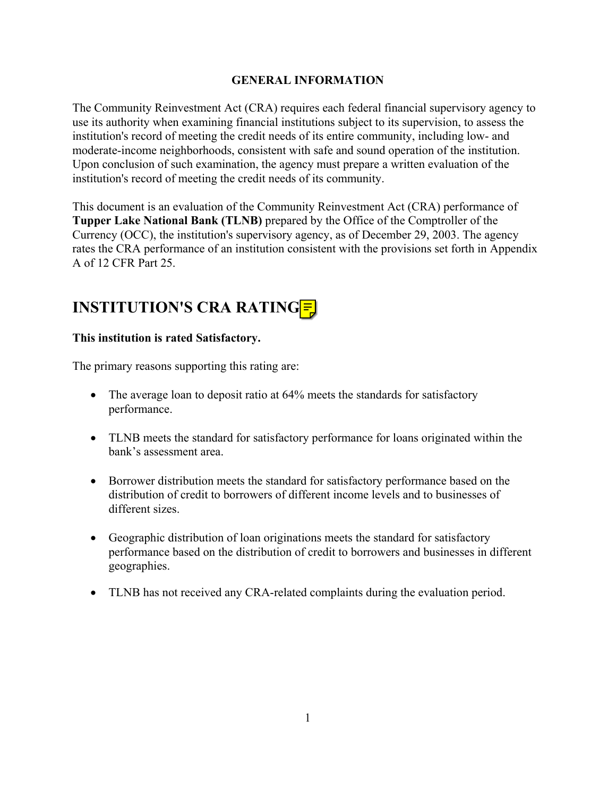#### **GENERAL INFORMATION**

<span id="page-2-0"></span>The Community Reinvestment Act (CRA) requires each federal financial supervisory agency to use its authority when examining financial institutions subject to its supervision, to assess the institution's record of meeting the credit needs of its entire community, including low- and moderate-income neighborhoods, consistent with safe and sound operation of the institution. Upon conclusion of such examination, the agency must prepare a written evaluation of the institution's record of meeting the credit needs of its community.

This document is an evaluation of the Community Reinvestment Act (CRA) performance of **Tupper Lake National Bank (TLNB)** prepared by the Office of the Comptroller of the Currency (OCC), the institution's supervisory agency, as of December 29, 2003. The agency rates the CRA performance of an institution consistent with the provisions set forth in Appendix A of 12 CFR Part 25.

# **INSTITUTION'S CRA RATING**  $=$

#### **This institution is rated Satisfactory.**

The primary reasons supporting this rating are:

- The average loan to deposit ratio at 64% meets the standards for satisfactory performance.
- TLNB meets the standard for satisfactory performance for loans originated within the bank's assessment area.
- Borrower distribution meets the standard for satisfactory performance based on the distribution of credit to borrowers of different income levels and to businesses of different sizes.
- Geographic distribution of loan originations meets the standard for satisfactory performance based on the distribution of credit to borrowers and businesses in different geographies.
- TLNB has not received any CRA-related complaints during the evaluation period.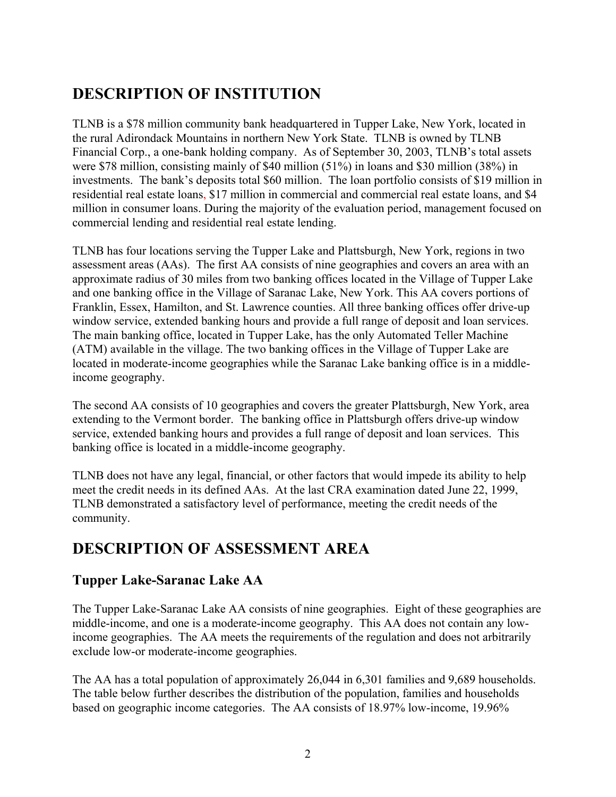# <span id="page-3-0"></span>**DESCRIPTION OF INSTITUTION**

TLNB is a \$78 million community bank headquartered in Tupper Lake, New York, located in the rural Adirondack Mountains in northern New York State. TLNB is owned by TLNB Financial Corp., a one-bank holding company. As of September 30, 2003, TLNB's total assets were \$78 million, consisting mainly of \$40 million (51%) in loans and \$30 million (38%) in investments. The bank's deposits total \$60 million. The loan portfolio consists of \$19 million in residential real estate loans, \$17 million in commercial and commercial real estate loans, and \$4 million in consumer loans. During the majority of the evaluation period, management focused on commercial lending and residential real estate lending.

TLNB has four locations serving the Tupper Lake and Plattsburgh, New York, regions in two assessment areas (AAs). The first AA consists of nine geographies and covers an area with an approximate radius of 30 miles from two banking offices located in the Village of Tupper Lake and one banking office in the Village of Saranac Lake, New York. This AA covers portions of Franklin, Essex, Hamilton, and St. Lawrence counties. All three banking offices offer drive-up window service, extended banking hours and provide a full range of deposit and loan services. The main banking office, located in Tupper Lake, has the only Automated Teller Machine (ATM) available in the village. The two banking offices in the Village of Tupper Lake are located in moderate-income geographies while the Saranac Lake banking office is in a middleincome geography.

The second AA consists of 10 geographies and covers the greater Plattsburgh, New York, area extending to the Vermont border. The banking office in Plattsburgh offers drive-up window service, extended banking hours and provides a full range of deposit and loan services. This banking office is located in a middle-income geography.

TLNB does not have any legal, financial, or other factors that would impede its ability to help meet the credit needs in its defined AAs. At the last CRA examination dated June 22, 1999, TLNB demonstrated a satisfactory level of performance, meeting the credit needs of the community.

# **DESCRIPTION OF ASSESSMENT AREA**

# **Tupper Lake-Saranac Lake AA**

The Tupper Lake-Saranac Lake AA consists of nine geographies. Eight of these geographies are middle-income, and one is a moderate-income geography. This AA does not contain any lowincome geographies. The AA meets the requirements of the regulation and does not arbitrarily exclude low-or moderate-income geographies.

The AA has a total population of approximately 26,044 in 6,301 families and 9,689 households. The table below further describes the distribution of the population, families and households based on geographic income categories. The AA consists of 18.97% low-income, 19.96%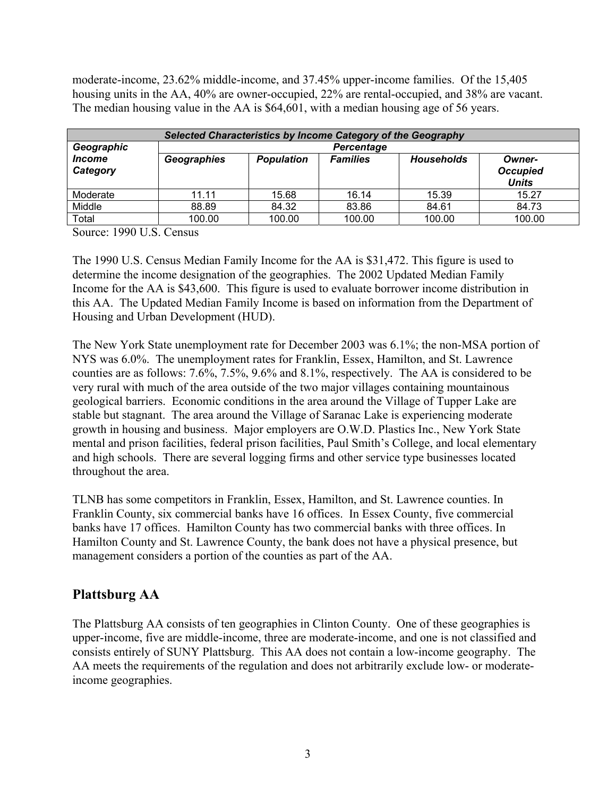moderate-income, 23.62% middle-income, and 37.45% upper-income families. Of the 15,405 housing units in the AA, 40% are owner-occupied, 22% are rental-occupied, and 38% are vacant. The median housing value in the AA is \$64,601, with a median housing age of 56 years.

| Selected Characteristics by Income Category of the Geography |                   |                   |                 |                   |                                           |  |
|--------------------------------------------------------------|-------------------|-------------------|-----------------|-------------------|-------------------------------------------|--|
| Geographic                                                   | <b>Percentage</b> |                   |                 |                   |                                           |  |
| <i><u><b>Income</b></u></i><br>Category                      | Geographies       | <b>Population</b> | <b>Families</b> | <b>Households</b> | Owner-<br><b>Occupied</b><br><b>Units</b> |  |
| Moderate                                                     | 11.11             | 15.68             | 16.14           | 15.39             | 15.27                                     |  |
| Middle                                                       | 88.89             | 84.32             | 83.86           | 84.61             | 84.73                                     |  |
| Total                                                        | 100.00            | 100.00            | 100.00          | 100.00            | 100.00                                    |  |

Source: 1990 U.S. Census

The 1990 U.S. Census Median Family Income for the AA is \$31,472. This figure is used to determine the income designation of the geographies. The 2002 Updated Median Family Income for the AA is \$43,600. This figure is used to evaluate borrower income distribution in this AA. The Updated Median Family Income is based on information from the Department of Housing and Urban Development (HUD).

The New York State unemployment rate for December 2003 was 6.1%; the non-MSA portion of NYS was 6.0%. The unemployment rates for Franklin, Essex, Hamilton, and St. Lawrence counties are as follows: 7.6%, 7.5%, 9.6% and 8.1%, respectively. The AA is considered to be very rural with much of the area outside of the two major villages containing mountainous geological barriers. Economic conditions in the area around the Village of Tupper Lake are stable but stagnant. The area around the Village of Saranac Lake is experiencing moderate growth in housing and business. Major employers are O.W.D. Plastics Inc., New York State mental and prison facilities, federal prison facilities, Paul Smith's College, and local elementary and high schools. There are several logging firms and other service type businesses located throughout the area.

TLNB has some competitors in Franklin, Essex, Hamilton, and St. Lawrence counties. In Franklin County, six commercial banks have 16 offices. In Essex County, five commercial banks have 17 offices. Hamilton County has two commercial banks with three offices. In Hamilton County and St. Lawrence County, the bank does not have a physical presence, but management considers a portion of the counties as part of the AA.

## **Plattsburg AA**

The Plattsburg AA consists of ten geographies in Clinton County. One of these geographies is upper-income, five are middle-income, three are moderate-income, and one is not classified and consists entirely of SUNY Plattsburg. This AA does not contain a low-income geography. The AA meets the requirements of the regulation and does not arbitrarily exclude low- or moderateincome geographies.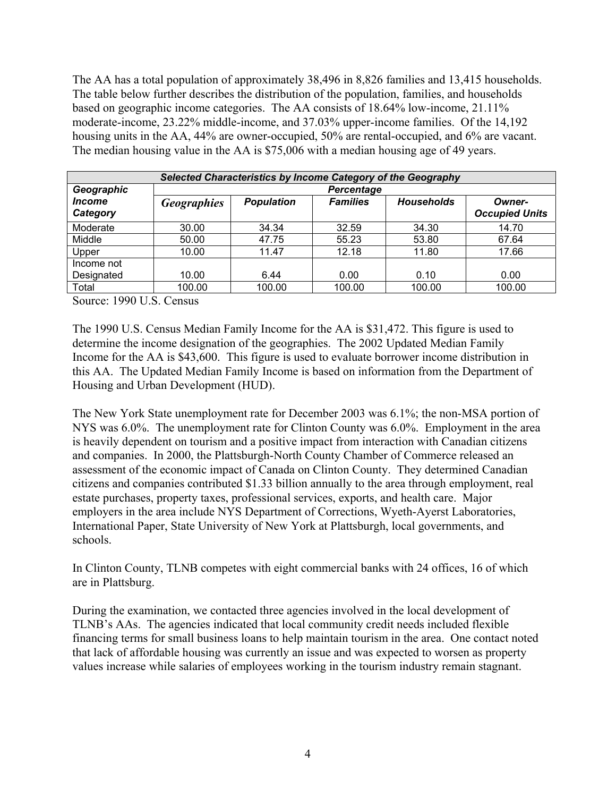The AA has a total population of approximately 38,496 in 8,826 families and 13,415 households. The table below further describes the distribution of the population, families, and households based on geographic income categories. The AA consists of 18.64% low-income, 21.11% moderate-income, 23.22% middle-income, and 37.03% upper-income families. Of the 14,192 housing units in the AA, 44% are owner-occupied, 50% are rental-occupied, and 6% are vacant. The median housing value in the AA is \$75,006 with a median housing age of 49 years.

| Selected Characteristics by Income Category of the Geography |                    |                   |                 |                   |                                 |  |  |
|--------------------------------------------------------------|--------------------|-------------------|-----------------|-------------------|---------------------------------|--|--|
| Geographic                                                   |                    | <b>Percentage</b> |                 |                   |                                 |  |  |
| <i><b>Income</b></i><br>Category                             | <b>Geographies</b> | <b>Population</b> | <b>Families</b> | <b>Households</b> | Owner-<br><b>Occupied Units</b> |  |  |
| Moderate                                                     | 30.00              | 34.34             | 32.59           | 34.30             | 14.70                           |  |  |
| Middle                                                       | 50.00              | 47.75             | 55.23           | 53.80             | 67.64                           |  |  |
| Upper                                                        | 10.00              | 11.47             | 12.18           | 11.80             | 17.66                           |  |  |
| Income not                                                   |                    |                   |                 |                   |                                 |  |  |
| Designated                                                   | 10.00              | 6.44              | 0.00            | 0.10              | 0.00                            |  |  |
| Total                                                        | 100.00             | 100.00            | 100.00          | 100.00            | 100.00                          |  |  |

Source: 1990 U.S. Census

The 1990 U.S. Census Median Family Income for the AA is \$31,472. This figure is used to determine the income designation of the geographies. The 2002 Updated Median Family Income for the AA is \$43,600. This figure is used to evaluate borrower income distribution in this AA. The Updated Median Family Income is based on information from the Department of Housing and Urban Development (HUD).

The New York State unemployment rate for December 2003 was 6.1%; the non-MSA portion of NYS was 6.0%. The unemployment rate for Clinton County was 6.0%. Employment in the area is heavily dependent on tourism and a positive impact from interaction with Canadian citizens and companies. In 2000, the Plattsburgh-North County Chamber of Commerce released an assessment of the economic impact of Canada on Clinton County. They determined Canadian citizens and companies contributed \$1.33 billion annually to the area through employment, real estate purchases, property taxes, professional services, exports, and health care. Major employers in the area include NYS Department of Corrections, Wyeth-Ayerst Laboratories, International Paper, State University of New York at Plattsburgh, local governments, and schools.

In Clinton County, TLNB competes with eight commercial banks with 24 offices, 16 of which are in Plattsburg.

During the examination, we contacted three agencies involved in the local development of TLNB's AAs. The agencies indicated that local community credit needs included flexible financing terms for small business loans to help maintain tourism in the area. One contact noted that lack of affordable housing was currently an issue and was expected to worsen as property values increase while salaries of employees working in the tourism industry remain stagnant.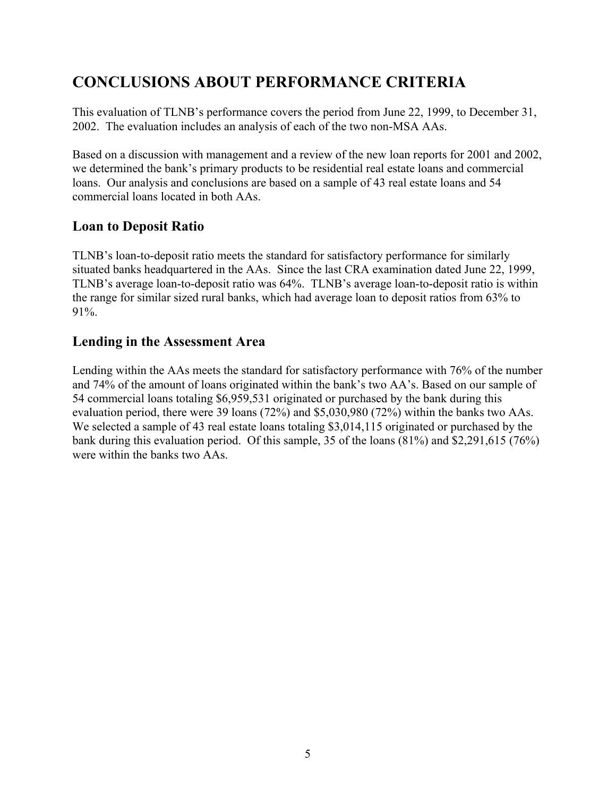# <span id="page-6-0"></span>**CONCLUSIONS ABOUT PERFORMANCE CRITERIA**

This evaluation of TLNB's performance covers the period from June 22, 1999, to December 31, 2002. The evaluation includes an analysis of each of the two non-MSA AAs.

Based on a discussion with management and a review of the new loan reports for 2001 and 2002, we determined the bank's primary products to be residential real estate loans and commercial loans. Our analysis and conclusions are based on a sample of 43 real estate loans and 54 commercial loans located in both AAs.

## **Loan to Deposit Ratio**

TLNB's loan-to-deposit ratio meets the standard for satisfactory performance for similarly situated banks headquartered in the AAs. Since the last CRA examination dated June 22, 1999, TLNB's average loan-to-deposit ratio was 64%. TLNB's average loan-to-deposit ratio is within the range for similar sized rural banks, which had average loan to deposit ratios from 63% to 91%.

## **Lending in the Assessment Area**

Lending within the AAs meets the standard for satisfactory performance with 76% of the number and 74% of the amount of loans originated within the bank's two AA's. Based on our sample of 54 commercial loans totaling \$6,959,531 originated or purchased by the bank during this evaluation period, there were 39 loans (72%) and \$5,030,980 (72%) within the banks two AAs. We selected a sample of 43 real estate loans totaling \$3,014,115 originated or purchased by the bank during this evaluation period. Of this sample, 35 of the loans (81%) and \$2,291,615 (76%) were within the banks two AAs.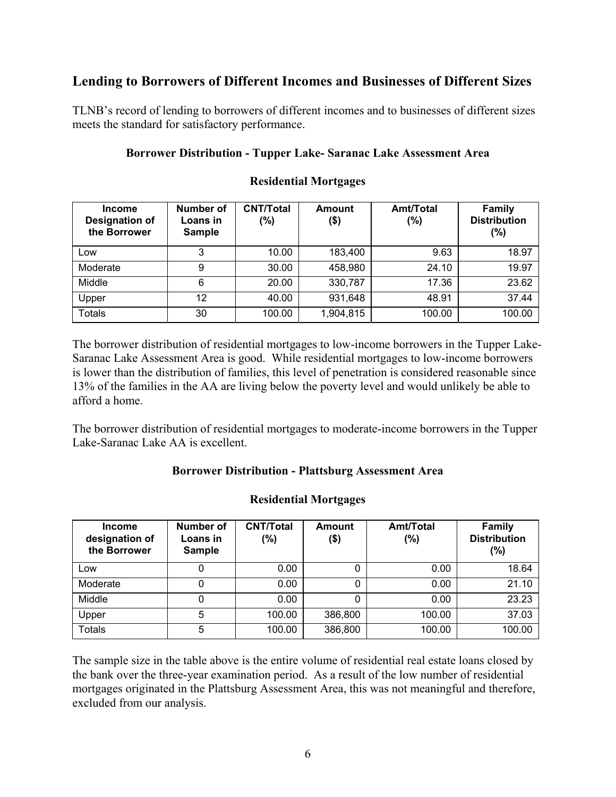## **Lending to Borrowers of Different Incomes and Businesses of Different Sizes**

TLNB's record of lending to borrowers of different incomes and to businesses of different sizes meets the standard for satisfactory performance.

#### **Borrower Distribution - Tupper Lake- Saranac Lake Assessment Area**

| <b>Income</b><br><b>Designation of</b><br>the Borrower | Number of<br>Loans in<br><b>Sample</b> | <b>CNT/Total</b><br>(%) | Amount<br>(\$) | <b>Amt/Total</b><br>$(\% )$ | <b>Family</b><br><b>Distribution</b><br>$(\%)$ |
|--------------------------------------------------------|----------------------------------------|-------------------------|----------------|-----------------------------|------------------------------------------------|
| Low                                                    | 3                                      | 10.00                   | 183,400        | 9.63                        | 18.97                                          |
| Moderate                                               | 9                                      | 30.00                   | 458,980        | 24.10                       | 19.97                                          |
| Middle                                                 | 6                                      | 20.00                   | 330,787        | 17.36                       | 23.62                                          |
| Upper                                                  | 12                                     | 40.00                   | 931,648        | 48.91                       | 37.44                                          |
| <b>Totals</b>                                          | 30                                     | 100.00                  | 1,904,815      | 100.00                      | 100.00                                         |

#### **Residential Mortgages**

The borrower distribution of residential mortgages to low-income borrowers in the Tupper Lake-Saranac Lake Assessment Area is good. While residential mortgages to low-income borrowers is lower than the distribution of families, this level of penetration is considered reasonable since 13% of the families in the AA are living below the poverty level and would unlikely be able to afford a home.

The borrower distribution of residential mortgages to moderate-income borrowers in the Tupper Lake-Saranac Lake AA is excellent.

#### **Borrower Distribution - Plattsburg Assessment Area**

#### **Residential Mortgages**

| <b>Income</b><br>designation of<br>the Borrower | Number of<br>Loans in<br><b>Sample</b> | <b>CNT/Total</b><br>(%) | <b>Amount</b><br>$($ \$) | <b>Amt/Total</b><br>(%) | <b>Family</b><br><b>Distribution</b><br>(%) |
|-------------------------------------------------|----------------------------------------|-------------------------|--------------------------|-------------------------|---------------------------------------------|
| Low                                             | 0                                      | 0.00                    |                          | 0.00                    | 18.64                                       |
| Moderate                                        | 0                                      | 0.00                    | 0                        | 0.00                    | 21.10                                       |
| Middle                                          | 0                                      | 0.00                    |                          | 0.00                    | 23.23                                       |
| Upper                                           | 5                                      | 100.00                  | 386,800                  | 100.00                  | 37.03                                       |
| <b>Totals</b>                                   | 5                                      | 100.00                  | 386,800                  | 100.00                  | 100.00                                      |

The sample size in the table above is the entire volume of residential real estate loans closed by the bank over the three-year examination period. As a result of the low number of residential mortgages originated in the Plattsburg Assessment Area, this was not meaningful and therefore, excluded from our analysis.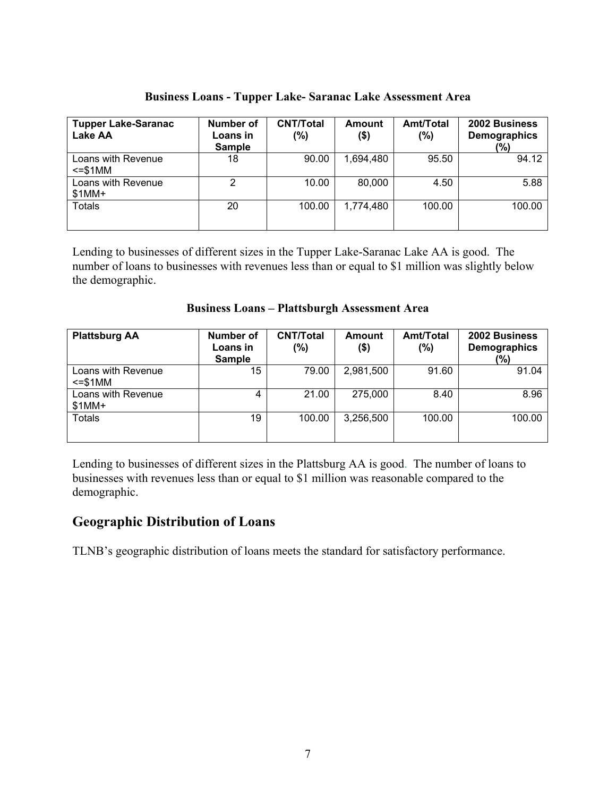| <b>Tupper Lake-Saranac</b><br><b>Lake AA</b> | <b>Number of</b><br>Loans in<br><b>Sample</b> | <b>CNT/Total</b><br>(%) | Amount<br>\$) | Amt/Total<br>(%) | 2002 Business<br>Demographics<br>(%) |
|----------------------------------------------|-----------------------------------------------|-------------------------|---------------|------------------|--------------------------------------|
| Loans with Revenue<br>$\le$ = \$1MM          | 18                                            | 90.00                   | 1,694,480     | 95.50            | 94.12                                |
| Loans with Revenue<br>$$1MM+$                | 2                                             | 10.00                   | 80,000        | 4.50             | 5.88                                 |
| <b>Totals</b>                                | 20                                            | 100.00                  | 1,774,480     | 100.00           | 100.00                               |

**Business Loans - Tupper Lake- Saranac Lake Assessment Area** 

Lending to businesses of different sizes in the Tupper Lake-Saranac Lake AA is good. The number of loans to businesses with revenues less than or equal to \$1 million was slightly below the demographic.

|  |  | <b>Business Loans - Plattsburgh Assessment Area</b> |
|--|--|-----------------------------------------------------|
|--|--|-----------------------------------------------------|

| <b>Plattsburg AA</b>                | Number of<br>Loans in<br><b>Sample</b> | <b>CNT/Total</b><br>(%) | <b>Amount</b><br>\$) | Amt/Total<br>(%) | 2002 Business<br>Demographics<br>(%) |
|-------------------------------------|----------------------------------------|-------------------------|----------------------|------------------|--------------------------------------|
| Loans with Revenue<br>$\le$ = \$1MM | 15                                     | 79.00                   | 2,981,500            | 91.60            | 91.04                                |
| Loans with Revenue<br>$$1MM+$       | 4                                      | 21.00                   | 275,000              | 8.40             | 8.96                                 |
| <b>Totals</b>                       | 19                                     | 100.00                  | 3,256,500            | 100.00           | 100.00                               |

Lending to businesses of different sizes in the Plattsburg AA is good. The number of loans to businesses with revenues less than or equal to \$1 million was reasonable compared to the demographic.

## **Geographic Distribution of Loans**

TLNB's geographic distribution of loans meets the standard for satisfactory performance.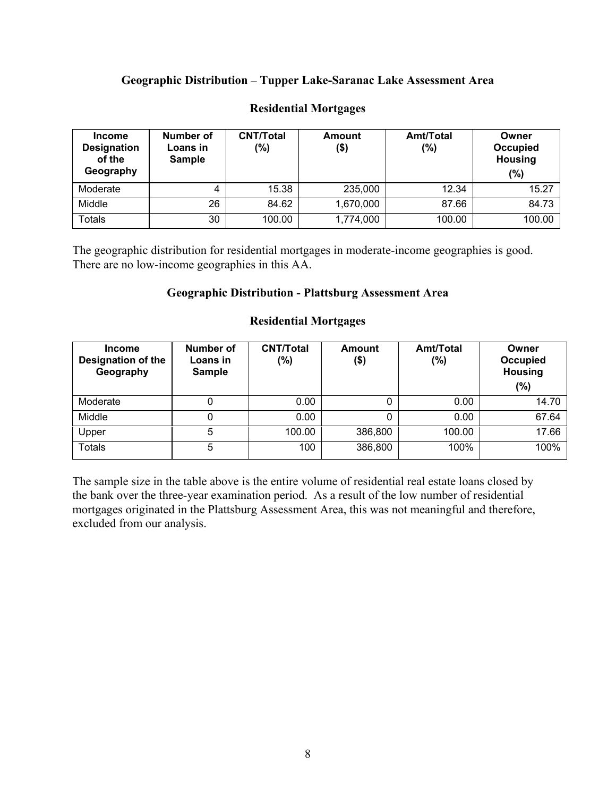#### **Geographic Distribution – Tupper Lake-Saranac Lake Assessment Area**

| <b>Income</b><br><b>Designation</b><br>of the<br>Geography | Number of<br>Loans in<br><b>Sample</b> | <b>CNT/Total</b><br>(%) | Amount<br>(\$) | <b>Amt/Total</b><br>(%) | Owner<br>Occupied<br><b>Housing</b><br>(%) |
|------------------------------------------------------------|----------------------------------------|-------------------------|----------------|-------------------------|--------------------------------------------|
| Moderate                                                   | 4                                      | 15.38                   | 235,000        | 12.34                   | 15.27                                      |
| Middle                                                     | 26                                     | 84.62                   | 1,670,000      | 87.66                   | 84.73                                      |
| Totals                                                     | 30                                     | 100.00                  | 1,774,000      | 100.00                  | 100.00                                     |

#### **Residential Mortgages**

The geographic distribution for residential mortgages in moderate-income geographies is good. There are no low-income geographies in this AA.

#### **Geographic Distribution - Plattsburg Assessment Area**

| <b>Income</b><br><b>Designation of the</b><br>Geography | Number of<br>Loans in<br><b>Sample</b> | <b>CNT/Total</b><br>(%) | Amount<br>(\$) | <b>Amt/Total</b><br>(%) | Owner<br>Occupied<br><b>Housing</b><br>$(\%)$ |
|---------------------------------------------------------|----------------------------------------|-------------------------|----------------|-------------------------|-----------------------------------------------|
| Moderate                                                |                                        | 0.00                    | 0              | 0.00                    | 14.70                                         |
| Middle                                                  |                                        | 0.00                    |                | 0.00                    | 67.64                                         |
| Upper                                                   | 5                                      | 100.00                  | 386,800        | 100.00                  | 17.66                                         |
| <b>Totals</b>                                           | 5                                      | 100                     | 386,800        | 100%                    | 100%                                          |

#### **Residential Mortgages**

The sample size in the table above is the entire volume of residential real estate loans closed by the bank over the three-year examination period. As a result of the low number of residential mortgages originated in the Plattsburg Assessment Area, this was not meaningful and therefore, excluded from our analysis.